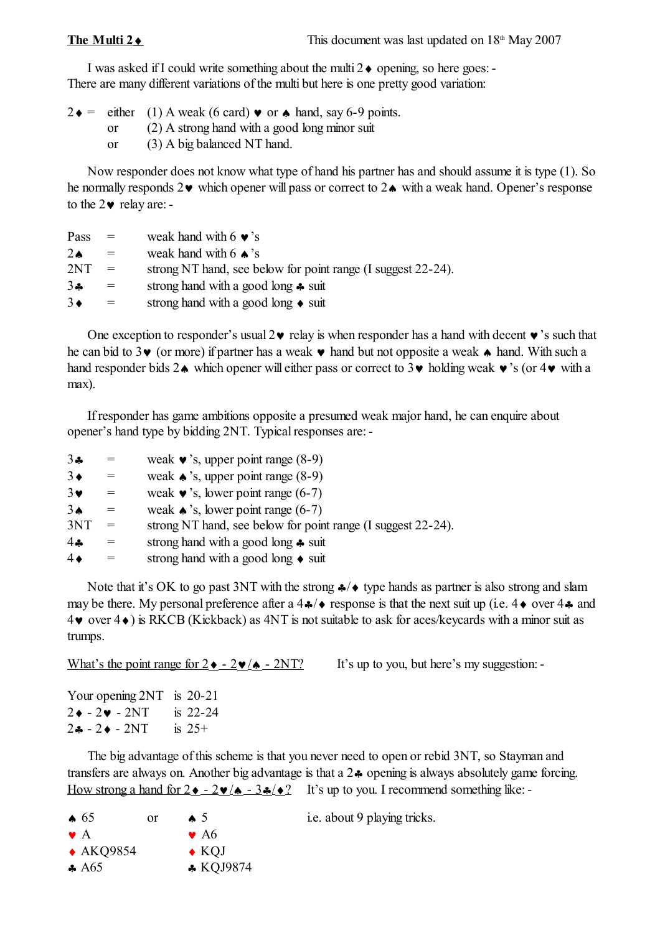I was asked if I could write something about the multi  $2 \bullet$  opening, so here goes: -There are many different variations of the multi but here is one pretty good variation:

 $2 \cdot = \text{either} \quad (1) \text{ A weak (6 card)} \cdot \text{or} \cdot \text{hand, say 6-9 points.}$ 

or (2) A strong hand with a good long minor suit

or (3) A big balanced NT hand.

Now responder does not know what type of hand his partner has and should assume it is type (1). So he normally responds  $2\vee$  which opener will pass or correct to  $2\triangle$  with a weak hand. Opener's response to the  $2\bullet$  relay are: -

| Pass       | $=$ | weak hand with 6 $\bullet$ 's                                |
|------------|-----|--------------------------------------------------------------|
| $2\bullet$ | $=$ | weak hand with 6 $\triangle$ 's                              |
| 2NT        | $=$ | strong NT hand, see below for point range (I suggest 22-24). |
| 34         | $=$ | strong hand with a good long $\clubsuit$ suit                |
| $3\bullet$ | $=$ | strong hand with a good long $\bullet$ suit                  |

One exception to responder's usual  $2\vee$  relay is when responder has a hand with decent  $\vee$ 's such that he can bid to 3 $\vee$  (or more) if partner has a weak  $\vee$  hand but not opposite a weak  $\uparrow$  hand. With such a hand responder bids  $2\spadesuit$  which opener will either pass or correct to  $3\spadesuit$  holding weak  $\bullet$  's (or  $4\bullet$  with a max).

If responder has game ambitions opposite a presumed weak major hand, he can enquire about opener's hand type by bidding 2NT. Typical responses are: -

| 34              |     | weak $\bullet$ 's, upper point range (8-9)                   |
|-----------------|-----|--------------------------------------------------------------|
| $3\bullet$      |     | weak $\triangle$ 's, upper point range (8-9)                 |
| $3\bullet$      | $=$ | weak $\bullet$ 's, lower point range (6-7)                   |
| 3 <sub>•</sub>  |     | weak $\triangle$ 's, lower point range (6-7)                 |
| 3NT             | $=$ | strong NT hand, see below for point range (I suggest 22-24). |
| $4$ $\clubsuit$ |     | strong hand with a good long $\clubsuit$ suit                |
| $4\bullet$      |     | strong hand with a good long $\bullet$ suit                  |

Note that it's OK to go past 3NT with the strong  $\clubsuit/\spadesuit$  type hands as partner is also strong and slam may be there. My personal preference after a  $4\frac{4}{9}$  response is that the next suit up (i.e.  $4\bullet$  over  $4\clubsuit$  and  $4\vee$  over  $4\diamond$ ) is RKCB (Kickback) as 4NT is not suitable to ask for aces/keycards with a minor suit as trumps.

What's the point range for  $2 \cdot -2 \cdot (A - 2NT)$  It's up to you, but here's my suggestion:

Your opening 2NT is 20-21  $2 \div -2 \times -2N$  is 22-24  $2 - 2 \cdot - 2NT$  is  $25 +$ 

The big advantage of this scheme is that you never need to open or rebid 3NT, so Stayman and transfers are always on. Another big advantage is that a  $2\clubsuit$  opening is always absolutely game forcing. How strong a hand for  $2 \cdot -2 \cdot (4 - 3 \cdot 2)$  It's up to you. I recommend something like:

|             | $\clubsuit$ 65      | $\alpha$ | $\triangle$ 5            | i.e. about 9 playing tricks. |
|-------------|---------------------|----------|--------------------------|------------------------------|
| $\bullet$ A |                     |          | $\bullet$ A <sub>6</sub> |                              |
|             | $\triangle$ AKQ9854 |          | $\bullet$ KOJ            |                              |
|             | $\clubsuit$ A65     |          | $\star$ KQJ9874          |                              |